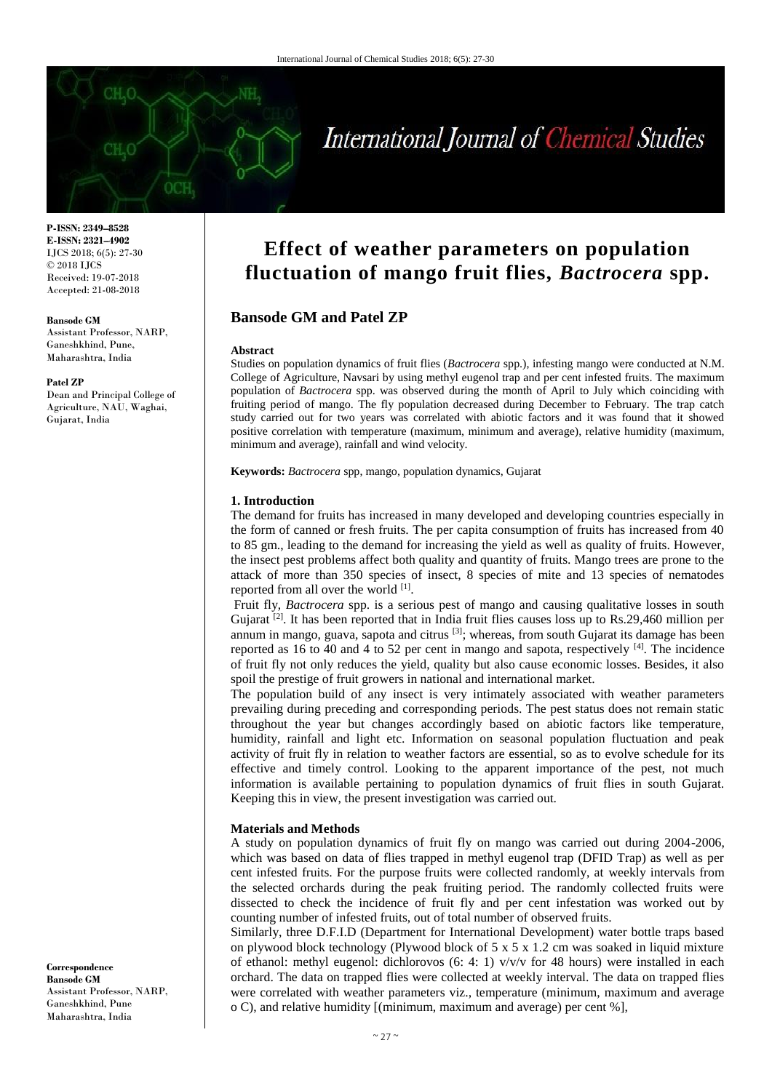# International Journal of Chemical Studies

**P-ISSN: 2349–8528 E-ISSN: 2321–4902** IJCS 2018; 6(5): 27-30 © 2018 IJCS Received: 19-07-2018 Accepted: 21-08-2018

#### **Bansode GM**

Assistant Professor, NARP, Ganeshkhind, Pune, Maharashtra, India

#### **Patel ZP**

Dean and Principal College of Agriculture, NAU, Waghai, Gujarat, India

**Correspondence Bansode GM** Assistant Professor, NARP, Ganeshkhind, Pune Maharashtra, India

# **Effect of weather parameters on population fluctuation of mango fruit flies,** *Bactrocera* **spp.**

# **Bansode GM and Patel ZP**

#### **Abstract**

Studies on population dynamics of fruit flies (*Bactrocera* spp.), infesting mango were conducted at N.M. College of Agriculture, Navsari by using methyl eugenol trap and per cent infested fruits. The maximum population of *Bactrocera* spp. was observed during the month of April to July which coinciding with fruiting period of mango. The fly population decreased during December to February. The trap catch study carried out for two years was correlated with abiotic factors and it was found that it showed positive correlation with temperature (maximum, minimum and average), relative humidity (maximum, minimum and average), rainfall and wind velocity.

**Keywords:** *Bactrocera* spp, mango, population dynamics, Gujarat

### **1. Introduction**

The demand for fruits has increased in many developed and developing countries especially in the form of canned or fresh fruits. The per capita consumption of fruits has increased from 40 to 85 gm., leading to the demand for increasing the yield as well as quality of fruits. However, the insect pest problems affect both quality and quantity of fruits. Mango trees are prone to the attack of more than 350 species of insect, 8 species of mite and 13 species of nematodes reported from all over the world <sup>[1]</sup>.

Fruit fly, *Bactrocera* spp. is a serious pest of mango and causing qualitative losses in south Gujarat  $[2]$ . It has been reported that in India fruit flies causes loss up to Rs.29,460 million per annum in mango, guava, sapota and citrus  $[3]$ ; whereas, from south Gujarat its damage has been reported as 16 to 40 and 4 to 52 per cent in mango and sapota, respectively  $^{[4]}$ . The incidence of fruit fly not only reduces the yield, quality but also cause economic losses. Besides, it also spoil the prestige of fruit growers in national and international market.

The population build of any insect is very intimately associated with weather parameters prevailing during preceding and corresponding periods. The pest status does not remain static throughout the year but changes accordingly based on abiotic factors like temperature, humidity, rainfall and light etc. Information on seasonal population fluctuation and peak activity of fruit fly in relation to weather factors are essential, so as to evolve schedule for its effective and timely control. Looking to the apparent importance of the pest, not much information is available pertaining to population dynamics of fruit flies in south Gujarat. Keeping this in view, the present investigation was carried out.

#### **Materials and Methods**

A study on population dynamics of fruit fly on mango was carried out during 2004-2006, which was based on data of flies trapped in methyl eugenol trap (DFID Trap) as well as per cent infested fruits. For the purpose fruits were collected randomly, at weekly intervals from the selected orchards during the peak fruiting period. The randomly collected fruits were dissected to check the incidence of fruit fly and per cent infestation was worked out by counting number of infested fruits, out of total number of observed fruits.

Similarly, three D.F.I.D (Department for International Development) water bottle traps based on plywood block technology (Plywood block of 5 x 5 x 1.2 cm was soaked in liquid mixture of ethanol: methyl eugenol: dichlorovos (6: 4: 1)  $v/v/v$  for 48 hours) were installed in each orchard. The data on trapped flies were collected at weekly interval. The data on trapped flies were correlated with weather parameters viz., temperature (minimum, maximum and average o C), and relative humidity [(minimum, maximum and average) per cent %],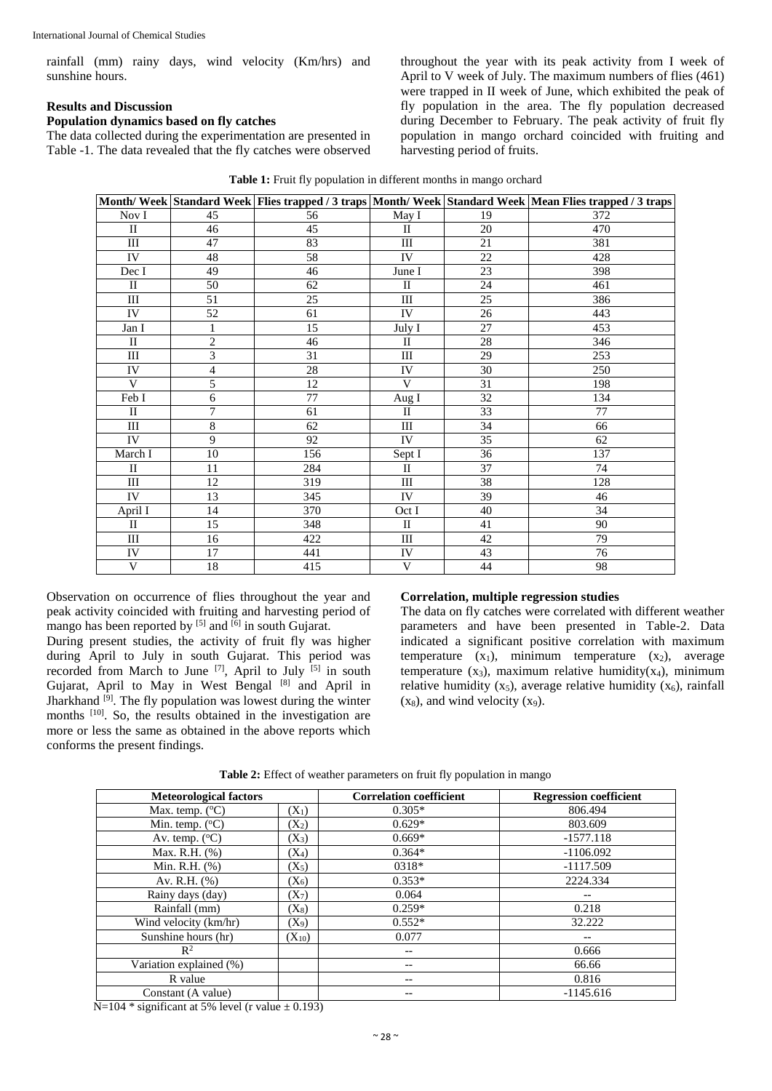rainfall (mm) rainy days, wind velocity (Km/hrs) and sunshine hours.

# **Results and Discussion**

# **Population dynamics based on fly catches**

The data collected during the experimentation are presented in Table -1. The data revealed that the fly catches were observed throughout the year with its peak activity from I week of April to V week of July. The maximum numbers of flies (461) were trapped in II week of June, which exhibited the peak of fly population in the area. The fly population decreased during December to February. The peak activity of fruit fly population in mango orchard coincided with fruiting and harvesting period of fruits.

|              |                 |     |              |    | Month/Week Standard Week Flies trapped / 3 traps Month/Week Standard Week Mean Flies trapped / 3 traps |
|--------------|-----------------|-----|--------------|----|--------------------------------------------------------------------------------------------------------|
| Nov I        | 45              | 56  | May I        | 19 | 372                                                                                                    |
| $\mathbf{I}$ | 46              | 45  | $\mathbf{I}$ | 20 | 470                                                                                                    |
| III          | 47              | 83  | III          | 21 | 381                                                                                                    |
| IV           | 48              | 58  | IV           | 22 | 428                                                                                                    |
| Dec I        | 49              | 46  | June I       | 23 | 398                                                                                                    |
| $\rm II$     | 50              | 62  | $\rm II$     | 24 | 461                                                                                                    |
| Ш            | 51              | 25  | III          | 25 | 386                                                                                                    |
| IV           | 52              | 61  | IV           | 26 | 443                                                                                                    |
| Jan I        | $\mathbf{1}$    | 15  | July I       | 27 | 453                                                                                                    |
| $\mathbf{I}$ | $\overline{2}$  | 46  | $_{\rm II}$  | 28 | 346                                                                                                    |
| Ш            | 3               | 31  | $\rm III$    | 29 | 253                                                                                                    |
| IV           | $\overline{4}$  | 28  | IV           | 30 | 250                                                                                                    |
| V            | $\overline{5}$  | 12  | V            | 31 | 198                                                                                                    |
| Feb I        | 6               | 77  | Aug I        | 32 | 134                                                                                                    |
| $\mathbf{I}$ | 7               | 61  | $\mathbf{I}$ | 33 | 77                                                                                                     |
| Ш            | 8               | 62  | Ш            | 34 | 66                                                                                                     |
| IV           | 9               | 92  | IV           | 35 | 62                                                                                                     |
| March I      | $\overline{10}$ | 156 | Sept I       | 36 | 137                                                                                                    |
| $\mathbf{I}$ | 11              | 284 | $\mathbf{I}$ | 37 | 74                                                                                                     |
| Ш            | 12              | 319 | $\rm III$    | 38 | 128                                                                                                    |
| IV           | 13              | 345 | IV           | 39 | 46                                                                                                     |
| April I      | 14              | 370 | Oct I        | 40 | 34                                                                                                     |
| $\mathbf{I}$ | 15              | 348 | $\mathbf{I}$ | 41 | 90                                                                                                     |
| Ш            | 16              | 422 | III          | 42 | 79                                                                                                     |
| IV           | 17              | 441 | ${\rm IV}$   | 43 | 76                                                                                                     |
| V            | 18              | 415 | V            | 44 | 98                                                                                                     |

|  | Table 1: Fruit fly population in different months in mango orchard |  |
|--|--------------------------------------------------------------------|--|
|  |                                                                    |  |

Observation on occurrence of flies throughout the year and peak activity coincided with fruiting and harvesting period of mango has been reported by  $[5]$  and  $[6]$  in south Gujarat.

During present studies, the activity of fruit fly was higher during April to July in south Gujarat. This period was recorded from March to June <sup>[7]</sup>, April to July <sup>[5]</sup> in south Gujarat, April to May in West Bengal [8] and April in Jharkhand  $\left[\right]$ <sup>[9]</sup>. The fly population was lowest during the winter months [10] . So, the results obtained in the investigation are more or less the same as obtained in the above reports which conforms the present findings.

### **Correlation, multiple regression studies**

The data on fly catches were correlated with different weather parameters and have been presented in Table-2. Data indicated a significant positive correlation with maximum temperature  $(x_1)$ , minimum temperature  $(x_2)$ , average temperature  $(x_3)$ , maximum relative humidity $(x_4)$ , minimum relative humidity  $(x_5)$ , average relative humidity  $(x_6)$ , rainfall  $(x_8)$ , and wind velocity  $(x_9)$ .

| <b>Meteorological factors</b> |            | <b>Correlation coefficient</b> | <b>Regression coefficient</b> |
|-------------------------------|------------|--------------------------------|-------------------------------|
| Max. temp. $(^{\circ}C)$      | $(X_1)$    | $0.305*$                       | 806.494                       |
| Min. temp. $(^{\circ}C)$      | $(X_2)$    | $0.629*$                       | 803.609                       |
| Av. temp. $(^{\circ}C)$       | $(X_3)$    | $0.669*$                       | $-1577.118$                   |
| Max. R.H. $(\% )$             | $(X_4)$    | $0.364*$                       | $-1106.092$                   |
| Min. R.H. $(%)$               | $(X_5)$    | 0318*                          | $-1117.509$                   |
| Av. R.H. $(\% )$              | $(X_6)$    | $0.353*$                       | 2224.334                      |
| Rainy days (day)              | $(X_7)$    | 0.064                          | --                            |
| Rainfall (mm)                 | $(X_8)$    | $0.259*$                       | 0.218                         |
| Wind velocity (km/hr)         | $(X_9)$    | $0.552*$                       | 32.222                        |
| Sunshine hours (hr)           | $(X_{10})$ | 0.077                          |                               |
| $\mathbb{R}^2$                |            | --                             | 0.666                         |
| Variation explained (%)       |            | --                             | 66.66                         |
| R value                       |            | --                             | 0.816                         |
| Constant (A value)            |            | --                             | $-1145.616$                   |

**Table 2:** Effect of weather parameters on fruit fly population in mango

N=104  $*$  significant at 5% level (r value  $\pm$  0.193)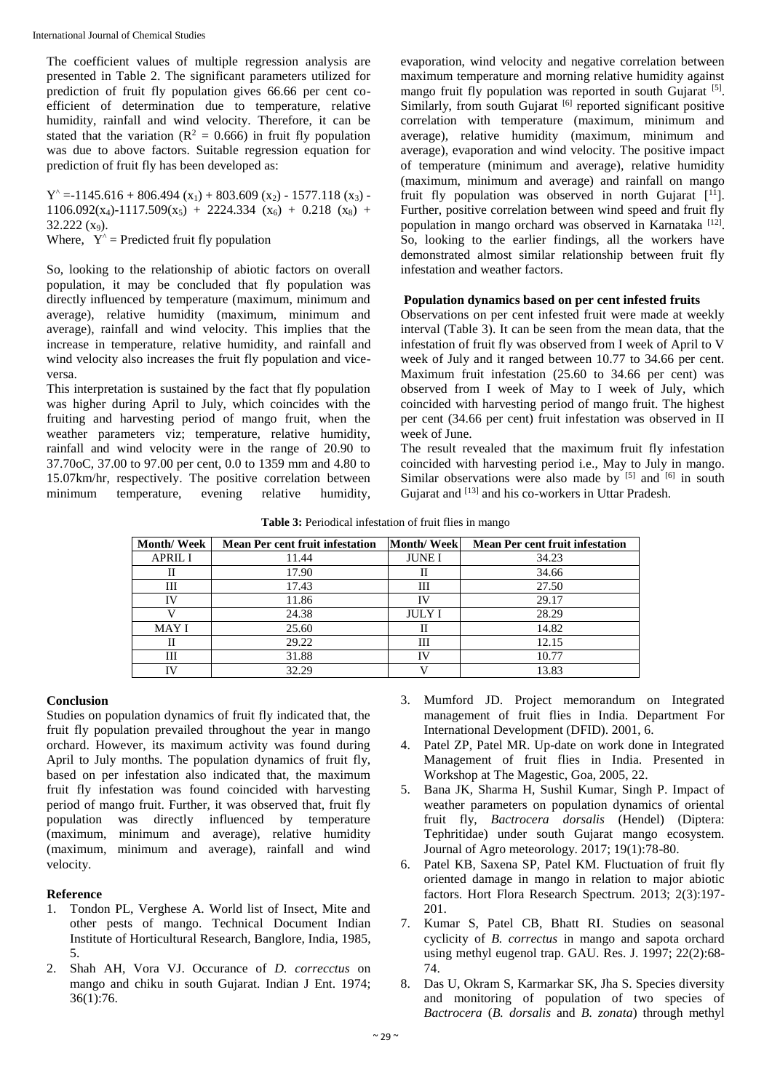The coefficient values of multiple regression analysis are presented in Table 2. The significant parameters utilized for prediction of fruit fly population gives 66.66 per cent coefficient of determination due to temperature, relative humidity, rainfall and wind velocity. Therefore, it can be stated that the variation ( $R^2 = 0.666$ ) in fruit fly population was due to above factors. Suitable regression equation for prediction of fruit fly has been developed as:

 $Y^{\text{A}} = -1145.616 + 806.494 (x_1) + 803.609 (x_2) - 1577.118 (x_3) 1106.092(x_4) - 1117.509(x_5) + 2224.334 (x_6) + 0.218 (x_8) +$  $32.222(x_9)$ .

Where,  $Y^{\wedge}$  = Predicted fruit fly population

So, looking to the relationship of abiotic factors on overall population, it may be concluded that fly population was directly influenced by temperature (maximum, minimum and average), relative humidity (maximum, minimum and average), rainfall and wind velocity. This implies that the increase in temperature, relative humidity, and rainfall and wind velocity also increases the fruit fly population and viceversa.

This interpretation is sustained by the fact that fly population was higher during April to July, which coincides with the fruiting and harvesting period of mango fruit, when the weather parameters viz; temperature, relative humidity, rainfall and wind velocity were in the range of 20.90 to 37.70oC, 37.00 to 97.00 per cent, 0.0 to 1359 mm and 4.80 to 15.07km/hr, respectively. The positive correlation between minimum temperature, evening relative humidity, evaporation, wind velocity and negative correlation between maximum temperature and morning relative humidity against mango fruit fly population was reported in south Gujarat [5]. Similarly, from south Gujarat [6] reported significant positive correlation with temperature (maximum, minimum and average), relative humidity (maximum, minimum and average), evaporation and wind velocity. The positive impact of temperature (minimum and average), relative humidity (maximum, minimum and average) and rainfall on mango fruit fly population was observed in north Gujarat  $[1]$ . Further, positive correlation between wind speed and fruit fly population in mango orchard was observed in Karnataka<sup>[12]</sup>. So, looking to the earlier findings, all the workers have demonstrated almost similar relationship between fruit fly infestation and weather factors.

# **Population dynamics based on per cent infested fruits**

Observations on per cent infested fruit were made at weekly interval (Table 3). It can be seen from the mean data, that the infestation of fruit fly was observed from I week of April to V week of July and it ranged between 10.77 to 34.66 per cent. Maximum fruit infestation (25.60 to 34.66 per cent) was observed from I week of May to I week of July, which coincided with harvesting period of mango fruit. The highest per cent (34.66 per cent) fruit infestation was observed in II week of June.

The result revealed that the maximum fruit fly infestation coincided with harvesting period i.e., May to July in mango. Similar observations were also made by  $[5]$  and  $[6]$  in south Gujarat and <sup>[13]</sup> and his co-workers in Uttar Pradesh.

**Table 3:** Periodical infestation of fruit flies in mango

| <b>Month/Week</b> | <b>Mean Per cent fruit infestation</b> | <b>Month/Week</b> | <b>Mean Per cent fruit infestation</b> |
|-------------------|----------------------------------------|-------------------|----------------------------------------|
| <b>APRIL I</b>    | 11.44                                  | <b>JUNEI</b>      | 34.23                                  |
| н                 | 17.90                                  | Н                 | 34.66                                  |
| Ш                 | 17.43                                  | Ш                 | 27.50                                  |
| IV                | 11.86                                  | IV                | 29.17                                  |
|                   | 24.38                                  | <b>JULY I</b>     | 28.29                                  |
| <b>MAY I</b>      | 25.60                                  | Н                 | 14.82                                  |
| Н                 | 29.22                                  | Ш                 | 12.15                                  |
| Ш                 | 31.88                                  | ΙV                | 10.77                                  |
| ΓV                | 32.29                                  |                   | 13.83                                  |

# **Conclusion**

Studies on population dynamics of fruit fly indicated that, the fruit fly population prevailed throughout the year in mango orchard. However, its maximum activity was found during April to July months. The population dynamics of fruit fly, based on per infestation also indicated that, the maximum fruit fly infestation was found coincided with harvesting period of mango fruit. Further, it was observed that, fruit fly population was directly influenced by temperature (maximum, minimum and average), relative humidity (maximum, minimum and average), rainfall and wind velocity.

# **Reference**

- 1. Tondon PL, Verghese A. World list of Insect, Mite and other pests of mango. Technical Document Indian Institute of Horticultural Research, Banglore, India, 1985, 5.
- 2. Shah AH, Vora VJ. Occurance of *D. correcctus* on mango and chiku in south Gujarat. Indian J Ent. 1974; 36(1):76.
- 3. Mumford JD. Project memorandum on Integrated management of fruit flies in India. Department For International Development (DFID). 2001, 6.
- 4. Patel ZP, Patel MR. Up-date on work done in Integrated Management of fruit flies in India. Presented in Workshop at The Magestic, Goa, 2005, 22.
- 5. Bana JK, Sharma H, Sushil Kumar, Singh P. Impact of weather parameters on population dynamics of oriental fruit fly, *Bactrocera dorsalis* (Hendel) (Diptera: Tephritidae) under south Gujarat mango ecosystem. Journal of Agro meteorology. 2017; 19(1):78-80.
- 6. Patel KB, Saxena SP, Patel KM. Fluctuation of fruit fly oriented damage in mango in relation to major abiotic factors. Hort Flora Research Spectrum. 2013; 2(3):197- 201.
- 7. Kumar S, Patel CB, Bhatt RI. Studies on seasonal cyclicity of *B. correctus* in mango and sapota orchard using methyl eugenol trap. GAU. Res. J. 1997; 22(2):68- 74.
- 8. Das U, Okram S, Karmarkar SK, Jha S. Species diversity and monitoring of population of two species of *Bactrocera* (*B. dorsalis* and *B. zonata*) through methyl